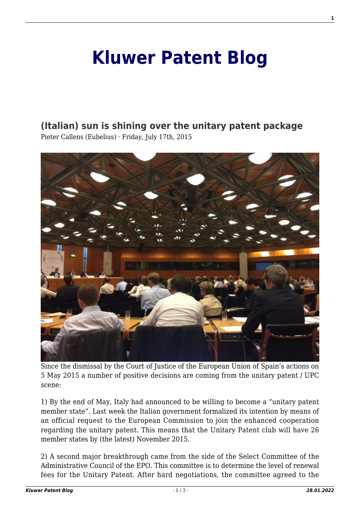## **[Kluwer Patent Blog](http://patentblog.kluweriplaw.com/)**

## **[\(Italian\) sun is shining over the unitary patent package](http://patentblog.kluweriplaw.com/2015/07/17/italian-sun-is-shining-over-the-unitary-patent-package/)**

Pieter Callens (Eubelius) · Friday, July 17th, 2015



Since the dismissal by the Court of Justice of the European Union of Spain's actions on 5 May 2015 a number of positive decisions are coming from the unitary patent / UPC scene:

1) By the end of May, Italy had announced to be willing to become a "unitary patent member state". Last week the Italian government formalized its intention by means of an official request to the European Commission to join the enhanced cooperation regarding the unitary patent. This means that the Unitary Patent club will have 26 member states by (the latest) November 2015.

2) A second major breakthrough came from the side of the Select Committee of the Administrative Council of the EPO. This committee is to determine the level of renewal fees for the Unitary Patent. After hard negotiations, the committee agreed to the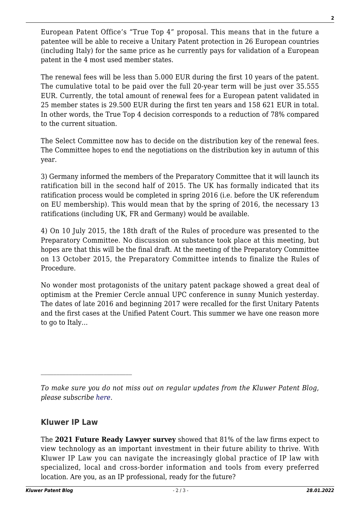European Patent Office's "True Top 4" proposal. This means that in the future a patentee will be able to receive a Unitary Patent protection in 26 European countries (including Italy) for the same price as he currently pays for validation of a European patent in the 4 most used member states.

The renewal fees will be less than 5.000 EUR during the first 10 years of the patent. The cumulative total to be paid over the full 20-year term will be just over 35.555 EUR. Currently, the total amount of renewal fees for a European patent validated in 25 member states is 29.500 EUR during the first ten years and 158 621 EUR in total. In other words, the True Top 4 decision corresponds to a reduction of 78% compared to the current situation.

The Select Committee now has to decide on the distribution key of the renewal fees. The Committee hopes to end the negotiations on the distribution key in autumn of this year.

3) Germany informed the members of the Preparatory Committee that it will launch its ratification bill in the second half of 2015. The UK has formally indicated that its ratification process would be completed in spring 2016 (i.e. before the UK referendum on EU membership). This would mean that by the spring of 2016, the necessary 13 ratifications (including UK, FR and Germany) would be available.

4) On 10 July 2015, the 18th draft of the Rules of procedure was presented to the Preparatory Committee. No discussion on substance took place at this meeting, but hopes are that this will be the final draft. At the meeting of the Preparatory Committee on 13 October 2015, the Preparatory Committee intends to finalize the Rules of Procedure.

No wonder most protagonists of the unitary patent package showed a great deal of optimism at the Premier Cercle annual UPC conference in sunny Munich yesterday. The dates of late 2016 and beginning 2017 were recalled for the first Unitary Patents and the first cases at the Unified Patent Court. This summer we have one reason more to go to Italy…

*To make sure you do not miss out on regular updates from the Kluwer Patent Blog, please subscribe [here.](http://patentblog.kluweriplaw.com/newsletter)*

## **Kluwer IP Law**

The **2021 Future Ready Lawyer survey** showed that 81% of the law firms expect to view technology as an important investment in their future ability to thrive. With Kluwer IP Law you can navigate the increasingly global practice of IP law with specialized, local and cross-border information and tools from every preferred location. Are you, as an IP professional, ready for the future?